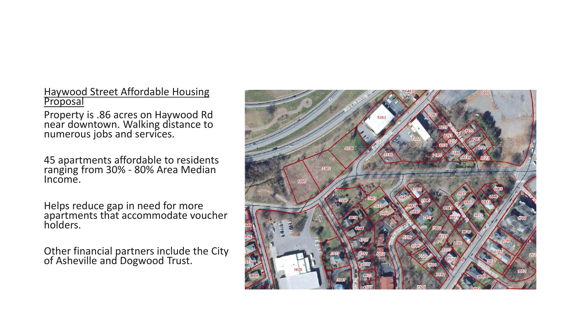Haywood Street Affordable Housing **Proposal** 

Property is .86 acres on Haywood Rd near downtown. Walking distance to numerous jobs and services.

45 apartments affordable to residents ranging from 30% - 80% Area Median Income.

Helps reduce gap in need for more apartments that accommodate voucher holders.

Other financial partners include the City of Asheville and Dogwood Trust.

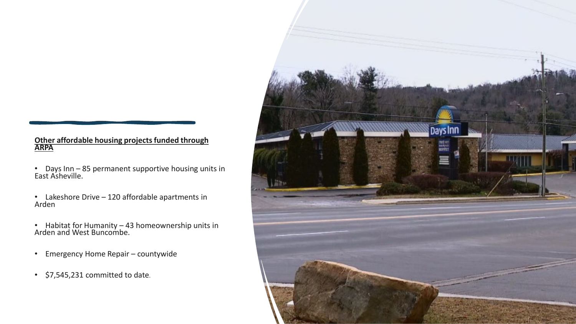## **Other affordable housing projects funded through ARPA**

- Days Inn 85 permanent supportive housing units in East Asheville.
- Lakeshore Drive 120 affordable apartments in Arden
- Habitat for Humanity 43 homeownership units in Arden and West Buncombe.
- Emergency Home Repair countywide
- \$7,545,231 committed to date.